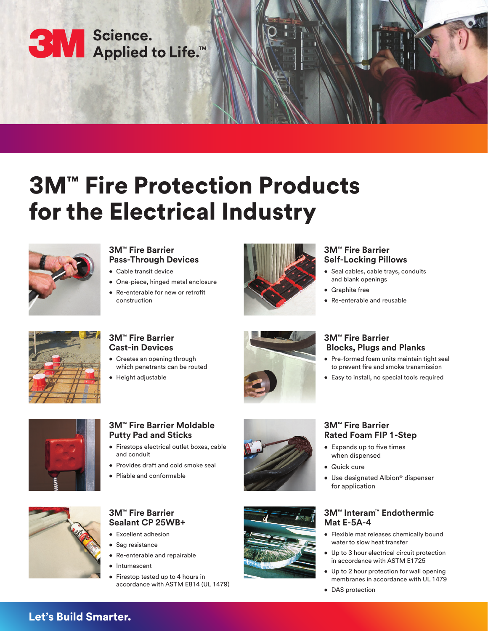

# 3M™ Fire Protection Products for the Electrical Industry



#### **3M™ Fire Barrier Pass-Through Devices**

- Cable transit device
- One-piece, hinged metal enclosure
- Re-enterable for new or retrofit construction



#### **3M™ Fire Barrier Self-Locking Pillows**

- Seal cables, cable trays, conduits and blank openings
- Graphite free
- Re-enterable and reusable

**3M™ Fire Barrier** 

• Quick cure

for application

**Rated Foam FIP 1-Step** • Expands up to five times when dispensed



### **3M™ Fire Barrier Cast-in Devices**

- Creates an opening through which penetrants can be routed
- Height adjustable



## **3M™ Fire Barrier Blocks, Plugs and Planks**

- Pre-formed foam units maintain tight seal to prevent fire and smoke transmission
- Easy to install, no special tools required



### **3M™ Fire Barrier Moldable Putty Pad and Sticks**

- Firestops electrical outlet boxes, cable and conduit
- Provides draft and cold smoke seal
- Pliable and conformable





## **3M™ Fire Barrier Sealant CP 25WB+**

- Excellent adhesion
- Sag resistance
- Re-enterable and repairable
- Intumescent
- Firestop tested up to 4 hours in accordance with ASTM E814 (UL 1479)



# **3M™ Interam™ Endothermic Mat E-5A-4**

• Use designated Albion® dispenser

- Flexible mat releases chemically bound water to slow heat transfer
- Up to 3 hour electrical circuit protection in accordance with ASTM E1725
- Up to 2 hour protection for wall opening membranes in accordance with UL 1479
- DAS protection

# Let's Build Smarter.